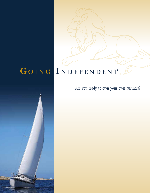# **G o i n <sup>g</sup> I n d e p e n d e n t**

*Are you ready to own your own business?*

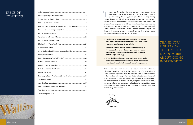thank you FOR TAKING THE TIME TO LEARN MORE about going independent.

### TABLE OF **CONTENTS**

| Pros and Cons of Staying at Your Current Broker/Dealer  18 |
|------------------------------------------------------------|
|                                                            |
|                                                            |
|                                                            |
|                                                            |
|                                                            |
|                                                            |
| Other Business Establishment Issues to Consider33          |
|                                                            |
|                                                            |
|                                                            |
|                                                            |
|                                                            |
|                                                            |
|                                                            |
| Preparing to Leave Your Current Broker/Dealer43            |
|                                                            |
|                                                            |
|                                                            |
|                                                            |

Thank you for taking the time to learn more about Going Independent and evaluate whether or not it is right for you. If you are reading this book, you are probably considering making a change in your life. This will require you to closely analyze your current business and also your future potential. Going Independent is designed for educational purposes to assist you in making an informed decision. Along the way, we will provide information about the experiences of Cantella financial advisors to provide a better understanding of how things work in our current environment. There are three primary goals that we hope this reading will help you achieve.

- **1. We hope it helps you look deep inside who you are and where you excel to determine the best business model for you, your loved ones, and your clients.**
- **2. For those who are already independent or deciding to Go Independent for the first time, we want to provide guidance on how to design a business built for success with the right partner(s).**
- **3. If you decide to take make a change in your career path, to learn from the prior experiences of others and transfer your book in an efficient, productive, and timely manner.**

Having worked as a former wirehouse producer with E.F. Hutton, an independent producer, and in senior management of a broker/dealer, I have firsthand experience with the pros and cons of various aspects of the investment industry. We hope that sharing the experiences of others who went through this process helps you make a logical career and lifestyle decision. Numerous advisors, along with the transition team, traders, compliance and operations staff at Cantella, provided their input to complete this guide. We thank you in advance for investing your time to read Going Independent.

Sincerely,

Jim Freeman

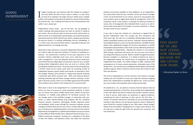*~ Motivational Speaker Les Brown*

### going independent

TOO MANY OF US ARE not living OUR DREAMS **BECAUSE WE ARE LIVING** OUR FEARS

 $\prod_{\text{proj}}$ magine owning your own business with the freedom to manage it your way. When the story of your career is written, it is your story, not that of an employee. No longer will your Twitter posts, LinkedIn profiles and Facebook commentary be limited to canned content written by someone else. Your creativity and value can be communicated to the public in your unique way.

Independence means choice. You are the boss. You say goodbye to useless meetings discussing products you have no interest in selling to your clients. No one tells you when to show up to work, what to wear, or when to leave. As an independent representative, you make the decisions based upon what you think is best for your clients, and grow your business the way you choose. It is exciting, exhilarating, and yes, intimidating. It is a choice more and more financial advisors, especially wirehouse and regional producers, are making every day.

What does it take to become a successful independent financial advisor? You need to make the leap from working *in* a business to working *on* a business. You should have a minimum of two years experience in the securities industry, preferably much more, and a solid base of assets under management. If you lack adequate financial services experience and still feel that the independent environment is best for you, consider joining another independent advisor who can serve as a mentor, while providing the freedom you desire. The junior partner that eventually buys a mentor's book can be a great career path. An increasing number of independent business owners prefer local transfer of ownership in their exit strategy. Having a junior partner is a logical step towards achieving a retirement path where everyone wins. With more financial advisors reaching retirement age and fewer younger advisors choosing a career path in financial services, there is an incredible opportunity that benefits all by making a junior partner a key component of a succession plan.

What does it mean to be Independent? As a Cantella branch owner, it means you have no pressure to solicit proprietary products. It means you can choose from about 20,000 mutual funds, dozens of insurance companies, or multiple wrap platforms for fee-based accounts. You can manage assets as the portfolio manager, in conjunction with your clients, or utilize industry-leading wrap programs like SEI, Lockwood Financial Services, Envestnet, Morningstar, Brinker, Raymond James and AssetMark, which screen through the numerous separate account managers to find the best ones for your clients. To help make an objective buy or sell decision on individual equities, you have access to the research departments of multiple firms. Cantella representatives can carry accounts at three different NYSE member firms: National Financial Services, LLC, a Fidelity Investments Company®, Pershing LLC, a subsidiary of The Bank of New York Mellon, and Raymond James, and utilize the numerous

products and services available on these platforms. As an independent, you choose what is best for your customer, not for your branch manager or firm. As we all look back on our careers, some of us may question why some products were so aggressively hyped by management. Was it the investment merits of the product, or perhaps the financial incentive to various tiers of management that motivated them to push us to sell inhouse funds and products? At Cantella, our primary directive is, "Please do what is best for your customer."

It was risky to leave the comforts of a wirehouse or regional firm to become Independent when the concept was first introduced over thirty years ago. You were at a competitive disadvantage because you lacked comparable products and services. Improved clearing platforms, technological advances, access to innovative products, and better broker/ dealers have significantly changed the business atmosphere to benefit independent representatives. Most of the services offered by wirehouses are available to independents. Typically, the selection is much greater. While leaving a wirehouse still carries risk, you now have more tools at your disposal to help you succeed. Before a wealth management product becomes available in a wirehouse, it is utilized sometimes for years in the independent setting. The natural forces of competition are making independent firms better. The market collapse of 2008, combined with overexposure to ill chosen private placements, eliminated many of the weaker firms. You now have very competitive broker/dealers that provide excellent support, which is welcome news for those who choose to start their own business.

The move to independence is not for everyone. If you require a manager looking over your shoulder to ensure you make the necessary outgoing phone calls, independence is probably not right for you. To be successful, you must combine self-motivation with entrepreneurial skills.

At Cantella & Co., Inc., we speak to numerous financial advisors who are considering leaving their current firms. Some already work independently in their own offices and want to improve their product selection, payout, or level of service, while others are wirehouse or regional producers, considering the step of venturing on their own for the first time. A number of insurance based firms and banks are also providing excellent training to help advisors one day become business owners. Making the move should be a positive change for you. Why make a lateral change? Always strive to be better! Changing firms is a major career decision, and we want you to make the right choice for yourself, your customers, and your loved ones.

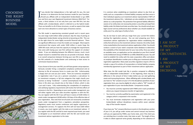### CHOOSING THE RIGHT **BUSINESS MODEL**

 $\prod_{\text{free}}$  $\blacksquare$  f you decide that independence is the right path for you, the next decision is to determine the best business model for your franchise. Should you affiliate with an independent broker/dealer or go 100% fees and form your own Registered Investment Advisory (RIA) firm? For some, a third solution is to not only form your own RIA firm, but also affiliate with a broker/dealer, which is referred to as the hybrid model. There are benefits to all of these structures, as well as aspects that make each one more attractive to certain types of business owners.

The RIA model is experiencing consistent growth and in recent years has seen large multi-million dollar producers skip the step of joining an independent broker/dealer and go directly to becoming an RIA. This can be the right choice for some highly successful financial advisors. There are significant differences in how the models are managed. Most experts recommend that anyone with under \$100 million in assets forgo the 100% RIA route until you have the capacity to manage the requirements that come with having your own firm without the support of a broker/ dealer. If you are debating between the different choices, much, much deeper research is needed than what we can provide in this book. Below is an overall comparison between forming your own RIA or going under the RIA umbrella of a broker/dealer and continuing to have access to commission-based products.

If you choose to form your own RIA, you will have greater setup expenses. Seriously consider hiring a competent compliance professional and an attorney to file all necessary forms to create your RIA. Unfortunately, a sloppy start can cost you your career. There are numerous exceptions to registration rules if you are a pension consultant, a sub-advisor to an investment company, or fall into categories that might classify your business as being "incidental." I cannot overemphasize that there are times in life when you should rely on the help of others, which is why I just said it twice. Fully understanding the complexities of compliance and satisfying regulatory requirements will involve the full-time efforts of someone in the firm. Depending on your assets under management, you will either register with your state securities regulator or with the SEC. You can register with the SEC if you will have in excess of \$100 million in assets under management (AUM) within 120 days of the effective date of your registration. Also note that not all assets are necessarily considered assets under management from a regulatory calculation perspective. Regulatory assets must receive continuous and regular supervisory or management services. If it appears the firm will not have \$100 million in assets, you must register with the state as an investment advisor. If you register with the SEC and fail to meet required asset levels, you need to deregister as an investment advisor with the SEC and transfer your investment advisor registration to the state.

i am A PRODUCT of my DECISIONS.

It is common when establishing an investment advisor to also form an entity such as a corporation or limited liability company and then serve in their individual capacity as an investment advisor representative ("IAR") of the investment advisory firm. Individuals can also establish an investment advisor as a sole proprietor. The protection from general liability offered to owners of an entity does not necessarily protect a securities principal from liability under the federal and state securities laws. You should consult your legal counsel and tax professional about whether you should establish an entity and, if so, what type of entity to form.

You do not have to wait until you resign from your current firm before starting the registration process. You can start preparing your firm's investment advisor application for registration before establishing the entity that will serve as the investment advisor; however, the entity needs to be created before the investment advisor application is filed. You should conduct a search of your state's corporate name database to determine the availability of the intended name for your new entity. Once you select an available name, an application can be submitted on your firm's behalf to the Entitlement Group of FINRA for an IARD /WebCRD account. You will need to establish the entity with the state corporation office and obtain an employer identification number prior to filing your investment advisor registration application. Many state securities regulators require a firm to include a copy of its articles of incorporation or limited liability company membership agreement as part of their investment advisor application.

What does the RIA model look like in practice compared to affiliating with an independent broker/dealer? In the beginning, there may be a difference in the amount of time it takes before you can start gathering assets and transacting business. When affiliating with a broker/dealer and you have no "Yes" answers on your U-4 in the disciplinary questions of your registration form, you may be eligible for what is called a "TAT" transfer of your registration to your new broker/dealer. Components include:

- You must be currently registered with FINRA and in each jurisdiction where you request temporary transfer of registration.
- You must be currently qualified by examination and registered in the category which is requested in the transfer.
- You must terminate employment and registration with your prior broker/dealer without disciplinary reasons within seven calendar days of the transfer request.

If you have any "Yes" answers/disclosure events in the disciplinary section of your U-4, you will go under review and cannot transact any business until you are approved by FINRA, your home state, and, if the client you are soliciting lives in another state, that state as well. The length of time it takes to obtain approval varies greatly, depending on the substance of



i am not A PRODUCT of my circumstances.

*~ Stephen Covey*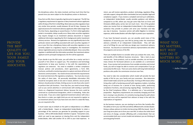### **PROVIDE** THE BEST quality of life for you, YOUR FAMILY and your ASSOCIATES.

the disciplinary action, the states involved, and how much time that has passed since you were subject to the disciplinary action or disclosure.

If you form an RIA, there is typically a lag time prior to approval. The SEC has a regulatory requirement to approve or deny investment advisor applicants within 45 days of the firm's initial filing. Most state securities regulators have very similar time periods, usually between 30 and 45 days. However, the approval process for investment advisory applicants often takes longer than this time frame, depending on several factors. If a firm's initial application packet is incomplete, delays usually occur. Many state securities regulators may require changes to an investment advisory document or request additional information regarding the firm's background and/or investment advisory services. Review of an application can vary significantly due to the particular volume and staffing associated with each securities regulator. If you or your firm has a disciplinary history with securities regulators or are currently subject to a regulatory inquiry or investigation, the investment advisor registration process may be considerably delayed. Once a securities regulator is satisfied with the information provided, the investment advisor applicant and its principal's background, the firm will be approved.

If you decide to go the RIA route, you will either be a martyr and do it yourself or hire others to support you. The compliance and technology requirements to keep your business in line with the expectations of regulators are extensive. You need to establish a written compliance manual, policies and procedures, client agreements, a Form ADV, brochures, and build a monitoring system to capture and store all forms of electronic communication. You need to know and meet the requirements for email and electronic file regulatory compliance. You must also ensure the safety of client data. All personally identifiable information (PII) should be encrypted, both at rest and in transit, behind a secure portal. Advisors should protect all data, limiting access to only those who need it to perform their job functions. From Day One, you need to know things, such as you cannot advertise or communicate with existing or potential clients as a Registered Investment Advisor because the term could be construed as a professional designation, which is misleading. Rules also vary by state. If you are a state registered investment advisor with only a few clients in a state, you might think you are not required to register as an investment advisor, but if you have even one client in a state like Texas, you are required to file.

A much easier way to embark on the path to independence is to affiliate with a broker/dealer. Expect an independent broker/dealer to retain a percentage of the revenues you generate for providing support to your business. 10% to 20% broker/dealer retention is typical. Transaction costs, which are used to pay expenses at clearing firms and the independent broker/dealer, often add another 5% to 10% to your total expenses. In

what you DO MATTERS, **BUT WHY** you do it **MATTERS SO** MUCH MORE.

return, you will receive operations, product, technology, regulatory filing, and sales support, along with often-overlooked, but very valuable, legal and compliance support. If you receive a complaint and end up in arbitration, an independent broker/dealer usually provides guidance and defense, compared to an RIA, where you may get some help from an Errors and Omissions (E&O) policy carrier, but not much more. One of the greatest values you receive from an independent broker/dealer is the compliance assistance they provide to protect and serve your franchise and help you stay in business. Insurance carriers will settle litigation to minimize expenses, while broker/dealers will often fight to protect your reputation.

If you have fee-based accounts, you can possibly avoid many of the headaches of becoming your own RIA by joining under the investment advisory umbrella of an independent broker/dealer. They will take care of all filings for you and help you design your investment advisory brochure. You become an investment advisory representative and utilize the programs and services of the RIA.

There are multiple factors to consider when you analyze the costs, risks, and benefits of the different business structures. Take a look at your revenue mix. Some products, such as variable annuities, do not have as many choices for fee-based advisors as are available on a commission basis. If you receive trail commissions from variable annuities and mutual funds, you will no longer be able to receive such compensation if you go exclusively the RIA route. There are some clients with long-held individual positions who prefer the commission structure over fees.

You need to take into consideration which model will provide the best quality of life for you, your family and your associates. Also determine which model makes sense for you financially. Forming an RIA means either hiring other staff or burdening yourself with regulatory matters, including being out of business for a period of time during audits, performing compliance functions, and processing ongoing filings. Somebody has to be the Chief Compliance Officer. It is definitely not a "one-and-done" proposition. Regulatory requirements are constantly changing and if the bar is moving in any direction, it is certainly moving along the path where more and more will be expected from advisors to keep in line with the expectations of regulators.

As the business matures, you are starting to see firms like Cantella offer the ability to form your own RIA and still be affiliated with a broker/dealer. Doing so allows advisors to trickle into becoming 100% fee-based. Even if your long-term plans are to form your own RIA, to reduce the initial shock and stress of change, consider affiliating with a broker/dealer that can accommodate both your current model and whatever you are thinking of pursuing going forward.

*~ Author Unknown*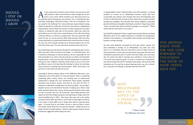# should i stay or **SHOULD** i grow )R<br>)<br>C<br>C<br>C

re you ready to be a business owner? Hold it; are you even in the right business? Take an honest look at what brought you to this point in your career. What motivates you? Step back and try to be subjective about owning yo right business? Take an honest look at what brought you to this point in your career. What motivates you? Step back and try to be subjective about owning your own business. Yes, it is exciting but also extremely challenging. Ownership brings a new set of headaches. Are you ready for the challenge? For many wirehouse representatives having trouble meeting firm production minimums, becoming an independent representative merely delays the process of either leaving the securities industry or exiting the sales side of the business. When you reach the point where you can make more money driving a car for Uber than being a financial advisor, it is time for a reality check. This may not be the right career for you. It is not an easy job. What other business offers the same income potential as a professional athlete with minimal barriers to entry? Yet, four out of five people starting out as financial advisors do not last more than three years. If it was easy, there would be many more of us.

You should enjoy your job and look forward to unlocking the door to your office each day. It does not have to be Utopia - it is still called work - but it should be rewarding. As financial advisors, we are responsible for the financial health of our clients. We also improve our clients' mental health by giving them a clear financial path. We help people plan for retirement and pay for their children's education while trying to do so in the most tax-efficient manner. We help diversify holdings to reduce risk and keep clients focused on meeting their financial goals. When clients panic, we are there to calm them and stay the course.

> **MOST** millionaires rely on the ADVICE OF a financial advisor.

According to Thomas Stanley, author of *The Millionaire Next Door*, most millionaires rely on the advice of a financial advisor. There is something comforting about having money and knowing that an experienced professional is looking over your investments. Most people, especially executives and business owners, feel they do not have the time or expertise to efficiently manage their own financial affairs. You provide a valuable service and should look forward to helping your clients make better decisions about their money. Anyone questioning this value needs to look no further than the "do-it-yourself" day-trading geniuses who wiped out their life savings buying the next big thing on margin when the Internet bubble burst in 2001. They took a few years off as the market increased and by 2007 were back in, only to get crushed again and throw in the towel in early 2009…just as things were about to become great again. For proof, look at any Dalbar survey or view the flow of assets into equity mutual funds over the past two decades. People buy more at peaks and sell at market bottoms. Advisors help investors stay the course and become aggressive when things are scary.

A representative's level of determination and self-motivation is a strong predictor of success as an independent business owner. We have occasionally seen advisors who thought they were self-motivated, only to find out that they did not work as hard unless they received constant pushing and prodding. They decided their phone weighed a thousand pounds and became incapable of picking it up unless it rang. Ask yourself, "How is my work ethic when my branch manager is on vacation?" "What factors led me to this point in my career?"

You should be organized or have a support person who keeps you working efficiently. Some of the largest producers at Cantella are disorganized. However, their salvation is an excellent sales assistant who keeps their business running smoothly.

You also need objectives and goals for each day, month, quarter, and year, preferably in writing. As an Independent, you steer your own ship, so it is imperative that you know what course to follow. Some of the top producers I know may not write down every goal, but they have methodical, productive plans of action that they follow each and every day. You need to be able to evaluate your activities to ensure they are in line with your long-term goals. In order to maintain your enthusiasm, you should reward yourself for meeting certain goals. Ask yourself, what motivates you? Do you like to attend sporting events, go out to dinner, buy a new piece of clothing, or perhaps take extra time off?

> *~ Thomas Stanley The Millionaire Next Door*



you should enjoy your job and look FORWARD TO unlocking THE DOOR TO YOUR OFFICE EACH DAY.

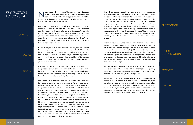### key factors TO CONSIDER

**COMMUTE** 

**OFFICE** 

**FAMILY** 

ow, let us break down some of the areas and main points about<br>going independent. Be honest with yourself and really think<br>about the questions below. It helps to take notes about how<br>you feel or jot down important factors t going independent. Be honest with yourself and really think about the questions below. It helps to take notes about how you feel or jot down important factors that may influence your decision to go independent or stay where you are.

How is your commute now? How will it be if you leave? Do you like commuting? Some people enjoy the down time. Shorter commutes provide more time to devote to other things in life, such as fitness, being with family and friends, or the opportunity to work efficiently and increase your production. For some of you, your new commute may become a trip down the hallway of your home to your office and the only traffic jam will be in front of the refrigerator. Warning: The belly is at risk when the home fridge is always close by.

Do you enjoy your current office environment? Do you like the facility? Do you like your manager and the people you work with? Do you like being associated with your current firm? Does hearing your company's name give you a sense of pride, or would you prefer having your own name on the door and crafting your unique brand identity? Envision your office as an independent. Compare what you are considering building to your current environment.

Will you have more time to spend with family and friends as an independent? Is your spouse supportive of the change to becoming a business owner? A spouse who is against independence should weigh heavily against such a decision. Part of becoming successful involves having those important to us believing that we can do it.

Compensation is a tricky area and often a primary factor motivating individuals to become independent advisors. What is your current payout? What will it be? Take into consideration ticket charges as an independent contractor. This could be another 5% to 10% of your total gross revenues if your book of business is primarily equities and bonds. If you provide Cantella with a summary of your transactions broken down by product type, we will show you what your paycheck would be doing the same business with us. Analyze the employee benefits you receive now and what you will have as an independent. Your paycheck might be higher, but you also need to add into the equation tax implications of being self-employed, such as health insurance and other benefits you might currently receive. A transition from one firm to another also means lost productivity due to training, processing paperwork, and investing in new systems. As an independent, many of your expenses become tax deductible, but they are still expenses. The number that really matters is not how much you make, it is how much you keep.

How will your current production compare to what you will produce as an independent advisor? Our experience has been that one's success as an independent can be quite varied. We have a number of advisors who dramatically increased their annual production since joining us, while others have decreased. Some are motivated by the fact that they keep a higher percentage of commissions. Other advisors told me that they no longer work as hard because they are making the income they need. Their personal production plateau is not a gross commission number; it is a net income level. In the end, it is not the firm you affiliate with that is the primary determinant of production levels - it is the individual or team. Your analysis should include lost revenue as you transition from one firm to another.

Today's wirehouse handcuffs come in the form of deferred compensation packages. The longer you stay, the tighter the grip on your career as you become an economic hostage. The reality is that some of these packages will make it very difficult to justify change. On the flip side, the sale of your business tends to be on your terms in the independent environment. Typically, you can receive a much higher price than you can as an employee, while structuring the sale at favorable capital gains rates. Your challenge is to determine if the long-term benefits will outweigh the short-term pain of change.

What are you paying for expenses now? What will you pay? Remember, business expenses are tax deductible. When evaluating pay and expenses, have a solid understanding of what will be left for you after Uncle Sam, the state, and any other entity is done taking its piece.

Do you have the initial capital to set up your office? What resources are available to you? Remember your Series 7 exam - borrowing money from your clients can be a career-ending move. Startup expenses, compared to most other businesses, like a restaurant, are minimal because your most valuable assets are your knowledge base and your clients. As the independent industry matures, competition for new branches increases and there may be flexibility from broker/dealers to help you with startup capital.

**PAY** 

#### PRODUCTION

#### **DEFERRED COMPENSATION**

**EXPENSES** 

**CAPITAL**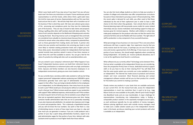What is your book worth if you stay versus if you leave? Can you sell your book now? Are there any restrictions on buyers? Some wirehouses permit representatives to sell their books, while others think a gold watch does the trick for many years of service. Representatives with our firm own their book and are free to sell it. We will also help them sell or transition out of the business if that is what they want. We have seen advisors grow weary of the processing and compliance grind, but they love the relationship part of the business. They can stay on board to take clients and prospects fishing or golfing while other staff members deal with daily activities. The value of one's practice depends on the likelihood of keeping assets and who is buying the book. Recurring revenue such as management fees and trails are considered more valuable to a business buyer because they are "sticky" and tend to remain when a key advisor retires, compared to potential fees, such as those generated from trading stocks and bonds. A partner who comes into your practice and transitions into servicing your book is much more likely to maintain existing production levels and a higher price for those sticky assets. Generalized numbers for independents that have been quoted recently have practices valued in excess of two times revenue or seven times the cash flow available to owners. You can get a feel for the value of a practice by visiting web sites such as www.fptransitions.com.

Are you vested in your company's retirement plan? What happens if you leave? Independent business owners can build their retirement base by maximizing contributions to retirement plans with very high contribution limits. Spouses and family members can also become employees in an independent environment, giving you even more taxation control.

Do you currently have a secretary and/or sales assistant or will you be hiring support personnel? Independent advisors producing over \$200,000 in gross commissions generally have some type of administrative or marketing support in their office. If you are trying to decide whether to hire employees as an independent, try the following exercise. How many hours do you plan to work a year? What would your annual pay be without an assistant? How much is that per hour? What increase would you expect in your production with support? After additional expenses, what would you net? If the numbers are close to equal in terms of net to you, hire an assistant, as you will get more than just an equivalent paycheck. Most businesses grow over time. Having someone handle administrative tasks that are not as personally rewarding to you also improves job satisfaction. An assistant also improves one's image to current and prospective clients. This is obviously a hypothetical exercise and you will not know the true numbers. Our point is that there is a law of diminishing returns in terms of how many hours you have in a day and how much you can generate in revenue. If you are a solid producer and a portion of your day is spent doing administrative functions, expect to be paid administrative wages for that portion of your time. Advisors with sales assistants tend to produce at much higher levels than those without.

#### **BUSINESS VALUATION**

#### **RETIREMENT** planning

#### support CONTINUED

#### **SYNDICATE BUSINESS**

TECHNOLOGY support

**PROPRIETARY PRODUCTS** 

You can also hire local college students as interns to help your practice. A number of colleges and universities now offer comprehensive curriculums focused on those interested in pursuing a career in financial planning. With the recent spike in demand for such skills, you often need to find these individuals by the end of their sophomore year in order to have a solid chance to hire them when they graduate. Even schools that do not offer financial planning majors still may provide course credits for career-related internships and you receive motivated, hard-working support to help your business grow for minimal expense. Mothers with children in school also make great employees for the producer who does not feel the need to hire someone full-time and can be flexible with hours worked. The right ratio of staff to production is a key component of any successful business.

What percentage of your business is in new issues? This is one area where wirehouses still have a superior edge. Your experience may be that you rarely receive stock for hot issues, or perhaps you are one of the luckier ones and receive a good portion of all offerings. If new issues are a major portion of your business, this should weigh negatively when considering Going Independent. At Cantella, we receive syndicate allocations, but it is not at the significance level found in a wirehouse.

What software do you currently utilize? Technology varies between firms. Find out what is available at the independent firm(s) you are considering. Does the prospective firm(s) have in-house, dedicated technical support staff, or do you have to rely on their clearing firm? You will likely find that the same quote system you currently use is also available to you as an independent. The Internet has made access to products and services simpler and more convenient. Most financial planning and contact management software vendors will let you try their product for a month for free before you commit to making a purchase.

Closely review any products in your book that are available exclusively at your current firm. On the mutual fund side, access for independent representatives is much less restrictive than it used to be (e.g., Legg Mason funds are now available to the public, Merrill Lynch funds merged into BlackRock funds and are now transferable). A major challenge for representatives transitioning into independence today is finding a comparable product solution in the separately managed account space, as each wirehouse typically has its own platform of money managers. Advisors placing significant assets with outside money managers need to make sure a viable solution awaits you in the independent channel. Later in this book, we discuss matching your current products with what is available as an independent.

#### support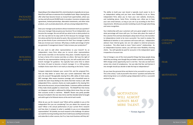#### **PACKAGED PRODUCTS**

#### **MANAGEMENT**

#### **BUILDING** AN OFFICE

#### **STATEMENTS**

#### **RESEARCH**

Depending on the independent firm, lack of products is typically not an issue. Most firms will have an extensive list of available funds. Major clearing firms offer what have become known as mutual fund supermarkets, where you can buy and sell around 20,000 funds in one place. Insurance company sales agreements, limited partnerships, alternative investments, and other niche products, such as private placements, will vary among independent firms.

Does your manager push products whose investment merit you question? Does your manager help you grow your business? As an independent, you become the manager. No one will tell you what to do or what products to sell. One rep told me he stays with his firm because his manager leaves him alone and lets him do what he wants. My comment to him was, "Why give up two-thirds of your commissions for that? Your manager is paid to help you increase your revenues. Why keep a smaller percentage of what you generate if management doesn't help increase your production?"

Do you want to add other representatives to your branch? As an independent, many firms allow you to recruit other representatives and receive overrides on the business they place. Cantella requires you to have a Series 24 to receive overrides on others. We have the right of refusal for any representatives looking to join, but will usually look to the branch manager for guidance. You typically have some time to obtain the Series 24 exam to become a branch manager. It is a 150-question, multiple-choice exam that is not nearly as daunting as the Series 7 exam.

Compare statements between your current firm and the proposed firm. How are they better or worse than your current statements? Who will carry the account? Recognizable clearing firms offer safety of client assets, SIPC coverage, often excess insurance coverage, and a household name to provide the warm fuzzy feeling to the clients that their money is safe. With independent firms, customer checks are made payable to the clearing firm that carries the account, not your broker/dealer. Customers will be comforted if they make checks payable to a brand name. The Madoff fear that money can disappear overnight is addressed by letting clients know they can view their accounts on-line in real-time. Madoff's illusion was partly possible because he looked in the rear view mirror and then decided what he bought and sold to get to his fictional returns at the end of each month.

What do you use for research now? What will be available to you at the independent firm you are considering? Can you obtain the research you want? What is the annual performance of your current firm's research and how does it compare to what is available to you as an independent representative? At Cantella, too much research is the challenge. An advisor can read the morning meeting notes from Credit Suisse and Raymond James and subscribe to other sources, but if so, how much business will they do? The ability to build your own brand is typically much easier to do in an independent setting and you have more flexibility to do so. Many independent firms allow you to have your own website, brochures, and marketing pieces. Some firms, including ours, allow you to have your own email domain, as long as you set it up according to the firm's requirements. Wirehouses provide marketing muscle through advertising and name recognition.

Your relationship with your customers will carry great weight in terms of what percentage will move with you. For those who place the needs of the customer first and have developed a deep level of trust, the transition to independence tends to be more successful. You need to analyze the likelihood of whether or not customers will move with you. Independent advisors have internal goals, but are not subject to external pressures to produce. This often leads to more "client centric" relationships. As an independent business owner, you will have more flexibility choosing clients. You will typically be paid for accounts in the independent space irrespective of account size.

Fear of change is one of the most powerful things that keep people doing what they are doing, even though they are better suited for something else. With change comes opportunity, but it is not free. Fear also can dull one's senses into a level of complacency. Can you take that fear and harness it into strength should you decide to take the leap to independence?

Do you have the personal drive and desire to be successful on your own? This is the critical, "Look at yourself in the mirror" question and will be the determining factor as to whether going independent will be a successful venture for you.

> **MOTIVATION** will almost always beat MERE TALENT.

> > *~ Norman Augustine*

#### **MARKETING**

**CUSTOMER LOYALTY** 

FEAR

#### **MOTIVATION**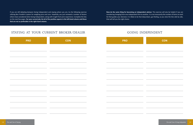If you are still debating between Going Independent and staying where you are, try the following exercise utilizing Ben Franklin's system for weighing pros and cons. Hopefully, you just reviewed a number of factors others have considered when Going Independent, along with insight from prior experience. Complete the lists on the next few pages. **For your current job, list all of the positive aspects in the left-hand column and those that are not as preferable in the right-hand column.**

**Now do the same thing for becoming an independent advisor.** This exercise will also be helpful if you are considering changing from one independent firm to another. It is not necessarily the number of items on each list that guides your decision; it is likely to be that deep-down, gut feeling, as you view the lists side by side, that will tell you the right choice.

### STAYING AT YOUR CURRENT BROKER/DEALER GOING INDEPENDENT

| <b>PRO</b> | <b>CON</b> |
|------------|------------|
|            |            |
|            |            |
|            |            |
|            |            |
|            |            |
|            |            |
|            |            |
|            |            |
|            |            |
|            |            |
|            |            |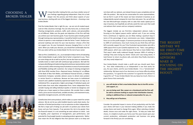### choosing a broker/dealer

e hope that after making the lists, you have a better sense of your feelings regarding going independent. Now, let us look deeper into the process and think about aspects of your new business, starting with one of the biggest decisions - choosing a new broker/dealer.

Find the broker/dealer that is right for you - we are not all created equal. Look at it like a business marriage. You can only marry one, so choose well. Clearing arrangements, products, staffs, work cultures, and personalities are all different. Make sure the goals and objectives of the firm will help you achieve your own business goals. If your business plan includes growth through training new representatives, it would be foolish to join a firm that refuses to sponsor a new employee to take the Series 7 exam. Analyze your personal roadmap and vision for your new business—choose a firm that can support you. Do your homework, because changing firms is a lot of work. When you make your decision, you should feel comfortable that the firm you select will be your broker/dealer for the rest of your career.

Take our firm, Cantella & Co., Inc., as an example to help in terms of evaluating other broker/dealers to get a better feel of what is important to you. There are some things we do as well as any firm, but we also have our weaknesses. Cantella tends to match well with wirehouse-type producers. We built the company identifying and implementing what wirehouse representatives need to be successful, while removing many frustrations in areas of communication and flexibility working with customers. Our unique tri-clearing arrangement with three NYSE member firms—Raymond James, Pershing LLC, an affiliate of the Bank of New York Mellon, and National Financial Services, a Fidelity Investments Company—provides advisors access to almost every product or service found in a wirehouse. Because we have access to institutional research and a platform backed by experienced traders from our days as an institutional firm, we generate a higher percentage of individual equity and bond trades than most other independent firms. Some independent firms consider buying and selling individual equities or bonds too dangerous and will give you a lower payout on these products. We consider them a viable choice, just as we do mutual funds, variable annuities, unit investment trusts, separately managed accounts, and other products.



Cantella does limit some products, which makes us a poor match for certain advisors. We do not let you solicit bulletin board or pink sheet stocks. Our selection of limited partnerships is not as extensive as other independents. We feel a major part of doing our job well is to protect your clients from losses and you from lawsuits. If we perceive the risk to be greater than the financial reward, it is not something we want advisors to solicit. Lack of liquidity, prior experience of management, past performance, and potential for fraud weigh heavily in evaluating product agreements. Rather than retain the 3% due diligence fees that sponsors want us to keep and not share with our advisors, we instead choose to pass completely and not offer the product. We may be too conservative for some representatives, but we feel it is part of the reason we have remained in business as an independently owned company for more than sixty years. Yes, we will miss the next Microsoft-type company with no sales that needs capital just to stay in business, but hopefully we will also avoid the next scam that could cost advisors their careers and our company's existence.

The biggest mistake we see first-time independent advisors make is focusing on the highest payout and/or upfront cash. If you are coming from a wirehouse or regional, you are likely making a quantum leap in terms of the percentage of your commissions you retain. Independent firms run on thin profit margins. If someone promises to let you keep 95% to 100% of commissions, how much money do you think they will have left to provide support for you? One frustrated representative who left a 100% payout firm to join Cantella explained to me, "Yeah, I was getting a 100% payout, which was a joke because they had so many hidden fees. That wasn't what really mattered though, because 100% of nothing is nothing! They were losing my clients' checks and I was losing clients. It took forever to return my phone calls, and when they finally returned a call, they rarely helped me."

Your broker/dealer should make a profit and you should want them to. Your ideal relationship as an independent is one that works for you, for your clients, and for your broker/dealer. It is a "win/win/win" relationship. We base most of our decisions in our home office by asking the questions, "Is it good for the customer? Is it good for the advisor? Is it good for us?" If your broker/dealer lets you keep too much, there is a good chance that eventually:

- **1. you will decide to find a new broker/dealer due to horrific service and support, or;**
- **2. you are being used like a pawn on a chessboard and the firm will be sold to someone looking to acquire their distribution channel, ending in additional fees or reduced compensation for you, or;**
- **3. they will go out of business.**

Consider the potential impact in terms of lost productivity and the faith your clients will have in your decision-making abilities if you make the wrong choice and need to change firms again. When selecting a broker/ dealer, choose once and make the right choice. To help you make that choice, it is helpful to build a pro forma over five years based upon your current production, anticipated production and business mix going forward in the firm(s) you are considering.

THE BIGGEST mistake we SEE FIRST-TIME independent **ADVISORS** make is focusing on THE HIGHEST PAYOUT.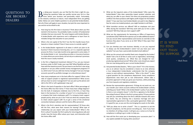IT IS WISER to find OUT THAN TO SUPPOSE.

### questions to ask broker/ **DEALERS**

y doing your research, you can find the firm that is right for you.<br>Asking key questions helps you quickly narrow your list to a few<br>firms where your business and personality match. Fortunately,<br>as the industry continues t Asking key questions helps you quickly narrow your list to a few firms where your business and personality match. Fortunately, as the industry continues to mature, most independent firms are getting better. Below are some helpful questions to ask potential broker/dealers. Not all of them will apply to your situation, but pick the ones important to you and do not be afraid to ask.

- 1. How long has the firm been in business? Think about when you first started in the business. You probably made a number of fundamental mistakes that you now avoid. The same happens with broker/dealers. A broker/dealer with experience and a willingness to learn from its mistakes brings that education to your practice.
- 2. What is the net capital of the firm? Can the firm handle losses from lawsuits or down markets? Does it have access to outside capital?
- 3. Is the broker/dealer registered in all states in which you plan to do business? Check insurance licensing also, as it is a separate approval process for firms. It can take months to be approved in some states. If the broker/dealer is not transacting securities or insurance business in a state where you serve clients, do not rely on a salesman's promises that this issue is easily resolved.
- 4. Is the firm a Registered Investment Advisor? If so, can you transact business under its RIA? Under your own RIA? What flexibility will you have with fee-based accounts? Do you have to use the firm's own wrap program or can you utilize outside money management programs? If so, which ones? Can you add new money managers? Can you manage accounts yourself as portfolio manager on a discretionary basis?
- 5. How many employees are in the back office for support? What is the ratio of support people to registered representatives? What access will you have to senior management? Can you pick up the phone and talk to the CEO or will a gatekeeper stop you?
- 6. What is the level of expertise in the back office? What percentage of the home office has their Series 7? How many have college degrees? Are the bulk of employees relatively new to the firm, or have they been in the business for a number of years? Is it a revolving door or a company that treats employees well? If a company treats support people poorly, what are you in for? Find out what the company does to retain valued support staff. Try to get a sense of the emotional connection between advisors and the home office personnel.
- 7. What is the firm's retention rate for representatives? Of those who left the firm, what were their reasons for leaving? What type of relationship can you expect with your broker/dealer? What is the firm's culture? Consider the firm's policy for returning phone calls and emails, how the home office values your input, and interaction with the home office staff.
- 8. What are the long-term plans of the broker/dealer? Who owns the broker/dealer? How does ownership impact product selection and what you can offer to your clients? Are there any proprietary product conflicts? Are there products with higher profit margins for the broker/ dealer? If you saw how much broker/dealers are paid in due diligence fees for some non-traded products, you might hesitate to sell them.
- 9. What transition services are offered? Will an employee visit your office during the transition? Will they work with you to hire a sales assistant? Will they help you train support staff?
- 10. What are the requirements for becoming an Office of Supervisory Jurisdiction (OSJ)? Will the firm sponsor you to take additional exams? Can you recruit other representatives and receive an override on the business they place if you serve as an OSJ? What if they open their own branch?
- 11. Can you develop your own business identity, or are you required to always use the broker/dealer's name? Can you have your own website? Can you have a personally branded email address?
- 12. What are the annual and monthly fixed costs charged by the broker/ dealer? Get a list of all fees in areas such as registration, technology, stock quotes, compliance, etc. What fees are charged for nonproducing registered personnel? What other costs should you expect that are now being paid by your current broker/dealer?
- 13. Ask potential broker/dealers, "Who is your client?" If it is the investor, you as an advisor may be considered a means to an end, whereas a true independent broker/dealer understands that the company ceases to exist without representatives. "Who is the client?" is also a good question for the compliance department. Some compliance departments view their job as rule enforcement. Others take a proactive approach to help you grow your business, while protecting you from lawsuits and regulatory violations.
- 14. Review the representative agreement. If things do not work out, can you transfer your client accounts without the broker/dealer actively soliciting your book? What is the broker/dealer's policy if you leave? Is there a non-compete clause? Is the firm a signatory to the Broker Recruiting Protocol? What is the firm's privacy policy? Privacy policies may tell you something about the firm's attitude towards who owns the clients. You are entering into a business marriage and your representative agreement is like a prenuptial agreement. Make sure it is good for you, as you are the one bringing the assets to the table.
- 15. "Will you allow me to write a book?" This is a question to ask the head of compliance, not the person recruiting you. Even if you have no intention of writing a book, it will give you a sense as to how far compliance is willing to go in order to help you.
- 16. How will the firm assist you in developing your succession plan? Is any capital available for buying other practices?



*~ Mark Twain*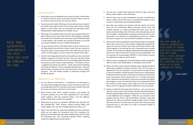- 1. What type of access is available to your client accounts? Is information in real-time? How do clients access their accounts? What is the cost for online account access for you and your clients?
- 2. How do you enter trades? What type of access will you have to traders? Can traders work orders for you? Can you enter orders online, through traders, or both? What costs are associated with executing orders? What portfolio rebalancing tools are available to you?
- 3. What type of accessibility will you have for stock quotes? Research? News? What are the costs? Does the firm allow billing for exchange fees under their umbrella for your stock quote system? Billing through a broker/dealer with multiple users instead of directly to you could save about \$1,000 per year just on NYSE exchange fees.
- 4. Can you view your clients' information online or do you have to run to the filing cabinet and yell when it doesn't open? Are you required to keep hard copies of account paperwork in the office? Are you able to submit scanned images or are you required to provide hard copies?
- 5. Does the technology department have the ability to write customized software programs and reports for you? How much do they charge for this service? How well does the firm's technology staff understand the business and the needs of representatives? At Cantella, we have a suggestion box driven by advisors. If they recommend something that makes life better for them, it probably will help others. We have staff members, including our CEO, who know how to write computer programs. This skill enables Cantella to implement changes that benefit all advisors.

#### products & services

- 1. Can you discount commissions? If commissions are discounted, is your payout percentage discounted, or does it remain the same? Can you charge above the firm's standard commission schedule? Does the firm have a commission minimum on each trade?
- 2. What mutual funds, REITs, variable annuities, and variable life insurance products are on the firm's approved list? Is the broker/ dealer willing to add new products? What is the due diligence process? What other products are available?
- 3. What types of accounts are available? (DVP/RVP, IRA, Roth IRA, SEP IRA, Coverdell ESA, Profit Sharing, Money Purchase, 401(k), Solo 401(k), 403(b), 457, 529, Non-Prototype Retirement Plans, etc.)
- 4. What is the procedure for approving marketing and sales materials? What can you expect for turnaround time from compliance for approval of marketing materials? What flexibility does the firm allow for developing your own marketing materials? What marketing material is supplied by the broker/dealer?

WE GET WISE BY asking questions, and even if these are not answered, WE GET WISE. for a well packed QUESTION CARRIES its answer on its BACK AS A SNAIL carries its shell.

pick the **QUESTIONS IMPORTANT** to you and do not BE AFRAID TO ASK.

### TECHNOLOGY

- 5. Can you see a sample client statement? Will your logo, name and phone number appear on the statement?
- 6. Will you have access to cash management accounts to provide your clients a debit card for ATM access, automated bill payment, travel insurance, reward points and checking privileges?
- 7. How does your product mix compare with the product mix of the firms you are considering? While purchasing mutual funds and variable annuities is a simple processing task, other areas such as equity and bond trading, Rule 144 sales, and estate planning can be more complex. A broker/dealer processing minimal business in your key product is an indication of a potentially poor fit for you. Analyze the areas of support you need and what is available to help you.
- 8. What are the clearing capabilities? One of the first steps in having your clients place trust in your career change is helping them evaluate the safety and security of where their assets will be held. Clients make checks payable to the clearing firm and a household name provides comfort. The clearing firm originates a great deal of available products and services. Take an online tour to view screens and capabilities. Can the clearing firm accommodate DVP/RVP or Prime Broker accounts for institutional or high net worth clients?
- 9. What insurance coverage does the broker/dealer and the carrying firm offer for clients if your broker/dealer or clearing firm were to fail?
- 10. What is the firm's policy towards soliciting equity indexed annuities? What about traditional insurance business? Does the firm have an approved list? Are you required to run the business through the firm or will it be treated as outside business? How are you compensated? Traditional insurance product commissions are often processed at two levels, the producer and the agency level. It is a "one plus one equals three" system for many products, as the more you produce the higher percentage you retain. At what level will you be compensated? If the firm receives a bonus payout, does it figure you into the equation? What is the firm's approach towards traditional insurance products?
- 11. Explore in depth the fee-based side of business. Can you have your own RIA? Can you work under the RIA umbrella of the broker/dealer? What fee-based programs will you have access to? Is there any chance to add additional asset managers? What fees are involved in each program and how much is the broker/dealer retaining? How does pricing for the advisor as portfolio manager program work? Cantella offers three choices: The client pays transaction fees, the advisor pays transaction fees, or the advisor can make an unlimited number of trades for a fixed fee.

*~ James Stephens*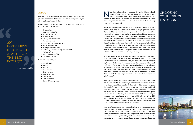### CHOOSING YOUR OFFICE **LOCATION**



Provide the independent firm you are considering with a copy of your production run. What would you net in your pocket if you did those transactions with them?

*Ask potential broker/dealers about all of their fees. What is the cost and what is included for:*

- Licensing fees
- State registration fees
- Errors & omissions
- Technology fee
- Clearing firm access fees
- Client access fees
- Branch audit or compliance fees
- SIPC assessment fees
- FINRA gross income fees
- Continuing education fees (Firm and FINRA)
- Marketing fees
- Non-producing staff fees
- Any additional fees

OW that we have talked a little about finding the right model and a broker/dealer that fits you and your goals, let us move to the topic of your office. Take a moment to visualize where you want your office, what it will l a broker/dealer that fits you and your goals, let us move to the topic of your office. Take a moment to visualize where you want your office, what it will look like and how it will run. Keep these things in mind during the next few sections because it will be helpful to see the big picture of going independent.

#### *What is the payout % for:*

- Mutual Funds
- Equities
- Options
- Fixed Income
- Fixed Insurance
- Variable Annuities
- Variable Life
- Asset Based Fees
- Financial Planning Fees

Design your environment for maximum profitability and career satisfaction. Location may help your business in terms of image, possible walk-in clients, and have a major impact on your bottom line, but it is not the most significant aspect of your business - you are. One of Cantella's largest producers works out of an office in his home. He prefers transacting business over the phone with established clients and meets prospects in the comfort of their own home or office. He sees corporate executives at their office at the beginning of the workday, or at a restaurant for breakfast or lunch. He keeps his business focused and handles all of the paperwork himself. He has minimal expenses, such as Internet, mail, and phone. With the 90% payout he receives, he keeps more than twice what he did at his old firm and his commissions are steadily increasing.

While the example above may be too simple for your taste, you want to be careful not to go too far spending too much on an office. If you have been producing under \$200,000 a year, it probably is not wise to pay \$5,000 a month for rent, hire a personal secretary, a sales assistant, and outfit your office in top-of-the-line mahogany furniture. Do not take the *Field of Dreams*, "Build it and they will come" approach. We have seen a few advisors think they were going to create a powerhouse branch with many advisors and lease over 5,000 square feet of office space. It made clients uncomfortable seeing so much of the floor vacant when the others "didn't come."

 Be very positive about your switch to independence - run a class operation that you are proud to call your own, but do not force yourself to produce beyond your capabilities. A better strategy is to find the amount of space that is right for you now. If you are fortunate and grow to add additional employees, then take on additional space. An approximation of 300 to 500 square feet per employee should give you an idea of how much space you will need. Law firms typically allocate about 300 square feet per employee, while a call center environment might only have 150 to 200 square feet per employee. Take into consideration space requirements for meeting with clients, conference room, kitchen, processing space, and a "loss factor" if the space has nooks and crannies.

Rates for office rentals vary, so consult a local realtor to get some guidance regarding potential business locations. When meeting with the realtor, make sure you set up their solo 401(k) plan, as most realtors are selfemployed contractors who can defer a significant part of their income per year. The same opportunity goes for the printer who may handle your stationery, your accountant, and your lawyer. It does not take rocket



*~ Benjamin Franklin*

#### **PAYOUT**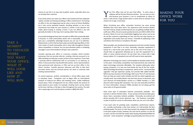Sour first office may not be your final office. In some areas a sublease will be the best financial solution. You can save on rent, and because your business is not as complicated as others to move, it will not be a huge b sublease will be the best financial solution. You can save on rent, and because your business is not as complicated as others to move, it will not be a huge burden when it comes time to relocate if you choose not to sign a new lease.

When furnishing your office, remember furniture has more pricing flexibility than most other items. Our experience with furniture dealers has been that by simply mentioning that you are getting multiple bids to outfit your office, the price quote quickly becomes just 50% to 60% of the list price. Most of us are not comfortable haggling over prices, just as we do not like customers negotiating our fees, but this one step requires no negotiation and usually saves you money. A benefit of subleasing is that sometimes the furniture is included in the deal.

When possible, you should purchase equipment and only consider leasing equipment if cash flow is an issue. Generally, computer equipment is leased for a two-to-five year period, and at the end of the lease, you should have an agreement allowing you to own the equipment for a dollar or some minimal amount. Do not enter into a lease with a high buyout option if it is equipment you will still need at lease expiration.

Whatever technology you invest in will probably be obsolete within three to five years. Fortunately, competition and improvements also make the latest technology extremely affordable. The simplest philosophy when buying computers is to buy one level below the top of the line model. With technology becoming so inexpensive, watch out for "recommended upgrades" that get expensive quickly, but provide little added benefit. Before you buy any piece of technology, talk to your firm's IT area because they can help you avoid costly mistakes and tell you which upgrades you actually need. Your broker/dealer may also have access to discounts; one such discount all broker/dealers receive as a FINRA member is a 10% discount when buying Dell computers. You can visit www.dell.com/finra for more information. However, FINRA members do not always get the same sales as the general public.

Have some type of redundant Internet connectivity available. Our business is almost entirely online. If your primary Internet provider goes down, have a secondary solution available. Personally, my android cell phone provides Wi-Fi access wherever I go. Our business is portable, so plan to build for access to information when you are not in the office.

If you want color for greeting cards, newsletters, performance reports, etc., consider purchasing a color laser printer, as it will provide the best printing quality. The price on color laser printers has dropped dramatically in the past couple of years; however, the real cost for printers is in the ink or toner, not the unit itself. Be careful when buying refurbished/refilled ink and toner - some companies' cartridges are good quality, but many are not.

### making your office work for you



TAKE A **MOMENT** TO VISUALIZE **WHERE** YOU WANT YOUR OFFICE, WHAT IT will look like and how it WILL RUN.

science to see this is an easy way to gather assets, especially when you are already their customer.

If you know where you want your office to be located and have adequate capital, consider purchasing a building or office condominium. Purchasing an office in the very beginning may be risky in terms of future flexibility, but it also carries potential rewards. Deciding whether or not to buy commercial real estate for your business is similar to the decision one makes about buying or renting a home. If you can afford it, you will generally do better in the long- term owning rather than renting.

A successful strategy we have seen is to open an office that can provide walkin business. In small communities where rent is reasonable, a storefront gives you a competitive advantage because you can use it to advertise. Edward Jones is a firm that has been quite successful opening offices on the main streets of small communities and in strip malls throughout America where competition is minimal. You can post attractive yields or marketing messages in your front window to bring in new customers.

Consider opening your office in a business complex, which includes businesses that can provide referrals. Landing a few key accounts in an office building can help pay a major portion of your expenses. If you have a working referral relationship with an accountant or an attorney, an office in close proximity may benefit both parties. Some representatives have partnered with attorneys or CPAs and set up their office in the other's location. Cantella sponsors attorneys and CPAs to take their securities exams and any licensed person can share in revenues with existing representatives.

To control expenses, another consideration is virtual office space and/ or executive suites. Companies such as Regus offer an international network of ready-to-use offices and meeting rooms. Unlike traditional leased space, these arrangements let you utilize exactly the amount of space based on your needs. For example, meeting rooms can be rented by the hour, half day, or full day in cities throughout the country. The web site is www.regus.com and the phone number is (800) 633-4237.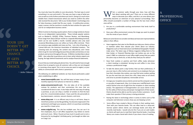### $\bm{A}$ professional OFFICE



When a customer walks through your door, how will they<br>feel about working with you? There are so many different<br>ways to decorate your office, and this is an area where your<br>personality becomes an extension of your physical feel about working with you? There are so many different ways to decorate your office, and this is an area where your personality becomes an extension of your physical surroundings. Your office should accomplish a number of things, but the two most critical ones will be:

- 1. Are you in a comfortable working environment that lends itself to productivity?
- 2. Does your office environment convey the image you want to project into the minds of your clients?

Below are some factors to consider and ideas we have seen representatives utilize in their offices:

- Have magazines that cater to the lifestyle you help your clients achieve or maintain rather than educate your clients about our industry. Magazines such as *Travel and Leisure* and *National Geographic Traveler*  make sense: The latest copy of *Money* magazine telling them to fire their broker or *Financial Planning* does not (unless you are on the cover). CNBC on a television in your office might convey that you watch the same crap as clients do, so why do they need you for advice?
- Have fresh cookies or pastries and fresh coffee ready whenever a client meeting is scheduled. Serving tea and coffee in nice china conveys a professional image.
- To take the above point a step further, find out their preferences. If you ever stay in a Ritz Carlton and comment to an employee that you love their chocolate chip cookies, you may find some cookies waiting for you the next time you check into a Ritz. Keep notes on all clients and strive to provide exceptional, memorable service.
- Arrange your reception area so clients cannot see the computer screen or any piles of paperwork. Also, try to keep your mail/file/work room and/or kitchen area out of sight from the reception or client meeting area(s). The appearance of disorganization can cause clients to fear for the safety of their privacy and proper management of their assets. Clients should not be able to see the name of other customers. It will make them question if their privacy is being protected.
- Having the latest in technology when it comes to items such as flat computer and television screens show you are keeping current.
- Some offices have created a library of books in their waiting room. Start with your favorite books. This can often lead to a drop-andborrow system where clients can exchange books and drop off recently read books. I would only do this if you are an avid reader, as clients will want you to read their latest favorite books. A working library can create a bond with clients if you share a love of reading.

your life DOESN'T GET **BETTER BY** CHANCE.

IT GETS **BETTER BY** choice.

You must also have the ability to scan documents. The best way to send something is to scan and email it. This way, you have a copy of what you sent as well as a trail of when and where you sent it. Doing so is much more reliable than a faxed transmission where you need to confirm the other side received the document. Talk to your broker/dealer's technology area for help choosing a model that fits your needs. A multifunction printer, copier, scanner, and fax machine is usually the best solution for space and cost for an independent business owner.

When it comes to choosing a quote system, there is a large variety to choose from as an independent representative. These include popular systems such as Market-Q, QUODD, DTNiq, Thomson Reuters, and Bloomberg. Prices range from about \$50 per month to a separate Bloomberg terminal, which can be over \$2,000 a month. Cantella advisors who only need occasional Bloomberg access can utilize our home office terminal. There are numerous apps available and many are free. I am a fan of learning, so I joined AAII.com, the American Association of individual investors. The screening tools are amazing, the content very educational, and I know where to go for new technology because they provide commentary on new products and services throughout the year. A lifetime membership is about \$400. I also subscribe to gurufocus.com to learn what industry experts are buying, the logic behind investments and to analyze financial statements.

Ensure that you install adequate phone lines. You will need to have enough phone lines to properly route all customer calls so they are not dropped or receiving a busy signal. This is not an area you want to neglect, as your ability to communicate with clients is paramount.

*The following are additional websites we have found particularly useful when establishing an office:*

- **www.lowermybills.com** You will find ways to lower many of your monthly expenses from phones to Internet to utilities.
- **www.consumersearch.com** The site takes all of the available reviews for products and then summarizes the ones that are considered the best to own. It also helps with the next step of making a purchase, as you can shop a number of vendors to find the best price for a recommended product. I have used the site personally to buy lawnmowers, cameras, vacuum cleaners, and more.
- **www.ebay.com** It is an efficient way to buy or sell items. Keep in mind that auctions can be like gambling. You become engrossed in the excitement and forget your purpose, which is to purchase something you need for a lower price.
- **www.craigslist.org** This site has multiple uses. You can use it to hire employees, buy or sell office equipment, buy tickets to events and much more. When I found out how much it would cost to rent a limousine for my daughter's birthday party, I just bought an older one on Craig's List.

*~ Author Unknown*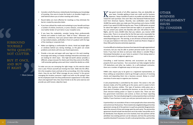Feep good records of all office expenses; they are deductible on your taxes. Consider getting at least one credit card for business expenses. I keep a handful of cards in my wallet and utilize the best reward for each nurc your taxes. Consider getting at least one credit card for business expenses. I keep a handful of cards in my wallet and utilize the best reward for each purchase. One card I like is the Starwood Preferred Guest Card from American Express. Recently, new cardholders were offered 10,000 free points when you make your first purchase and a bonus 15,000 points if you spend \$15,000 during the year. Those 25,000 points are good for about five nights in a decent hotel and two nights in an upscale hotel. You can convert your points into Skymiles with over 150 airlines for free flights, and for every 20,000 miles that you redeem, you receive 5,000 bonus miles. There is no annual fee for the first year and a reasonable fee thereafter. My favorite web site to find the best rewards card available is www.thepointsguy.com The warning, as we all know as financial advisors, is to pay your balance in full every month to avoid any finance charges or these little perks become extremely expensive.

It can be difficult to shield your business from lawsuits through organizational structures, but you may be able to protect personal assets such as your home. If you have not done so and your state allows it, consider filing a Homestead Declaration on your home to protect it from being seized or sold in the event of a judgment against you.

Consulting a small business attorney and accountant can help you properly form your business. Your accountant can help navigate Section 179 deductions and other tax matters. As a self-employed contractor, there are a number of legitimate ways to limit your taxes.

FINRA rules require pay to be given to a registered representative, so those setting up corporations need to go through a process of receiving checks and depositing them into a business account. Below is a brief overview of some ways to organize your business.

A sole proprietorship is controlled by the owner: The owner is the sole decision-maker, all of the profits go to the owner, and it is easier to form than other business entities. This type of business entity gives you a great deal of freedom in operating the business, as you do not have to share decision-making power or report to anyone else. There are also less government restrictions and control, so there are fewer reporting requirements. The main disadvantage for a sole proprietorship is unlimited liability. If your business is sued, you and your personal assets are at risk.

A partnership is an association of two or more people who share ownership and control over the business. There needs to be a legally binding partnership agreement among all of the partners to quell any potential disagreements about the amount of time and energy spent by each party. The partnership agreement should include how decisions are to be made, how profits are to be distributed, how disputes are to be resolved, how new partners will be admitted, how existing partners can be released, and how the partnership would be dissolved if necessary. As with a sole proprietorship, a partnership

### OTHER **BUSINESS** establishment **ISSUES** TO CONSIDER



- Consider a shelf of business-related books that display your knowledge of investing. One area to locate the books is at shoulder height on a shelf behind where you sit when meeting with clients.
- Round tables are more effective for meetings as they eliminate the barrier created by executive desks.
- If you have utilized the media and marketing to your benefit and have a number of articles, brochures, or press releases, consider having a nice leather binder of such items in your reception area.
- If you have the credentials, consider having them professionally framed and matted to build your "Wall of Fame." Whenever you attend a conference, have your picture taken with keynote speakers or top-ranked analysts, preferably in front of a podium with the logo of the meeting or corporate host.
- Make sure lighting is comfortable for clients. Avoid any bright lights or windows behind you during meetings, as the glare can create problems and clients will miss your facial expressions.
- Provide a nice pen and paper with your logo on it for each meeting. Encourage note taking, as it keeps meetings interactive and shows you are looking for client input. One high-net-worth advisor provides a different, unique new pen for clients each time they come to his office. I still remember getting a prize each time I visited the dentist as a child.

To make sure you are conveying the right image, try this exercise about once a year. Picture yourself just moving into town. Walk into the office. Sit in the reception chairs and look at the surroundings. Sit in the meeting chairs. How do you feel? What message do you receive? Is the person managing this location someone I might trust with my life savings? How do the employees look? Are they professional in appearance? Is the office clean and organized? Ask a few close friends to do the same exercise and provide you with honest, objective input.



BUY IT ONCE. AND BUY IT RIGHT.

*~ Marni Jameson*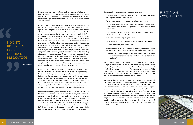Some questions to ask accountants before hiring one:

- How long have you been in business? Specifically, how many years working with small business owners?
- What percentage of your clients are small business owners?
- Do you outsource any work to other companies or within the office? If so, what is the education, experience, and expertise of those individuals?
- How many people are in your firm? Note: In larger firms you may not always speak to the same person.
- What is the firm's average response time?
- What is your hourly rate? Do you charge for phone consultations?
- If I am audited, are you there with me?
- Are there certain systems you require me to use to keep track of income and expenses? Can you help me set up some bookkeeping systems?
- Are there any notable changes to the tax law that I should know to help maximize my after-tax income now that I am establishing my own business?

### hiring an **ACCOUNTANT**



Your first stop for maximizing retirement contributions should be yourself. Changes in tax legislation allow you to contribute significant pre-tax money into your retirement accounts. AIM and Pioneer are a couple of fund families that can provide more information on self- employed 401(k) plans. Most of the major clearing firms also now offer a self-directed solo 401(k) plan where you can buy anything in your solo 401(k) plan that you could hold in a self-directed IRA or brokerage account.

You need to think like a business owner and maximize the efficiency of each dollar. For example, if you have children in high school, you can hire them to work for you. According to Diane Kennedy, CPA, who runs www.taxloopholes.com, you can even pay your children a modeling fee for appearing in your brochures or company website. Earned income up to the standard deduction amount will be federally tax-free. A child can also take the money you pay them and contribute it to a Roth IRA or you can gift the amount to them and then contribute it to their Roth IRA (as long as the child has the earned income). Just four years of full Roth IRA contributions by a teenager will grow to over a million dollars by age 65 if the account averages a 10% return per year. Now that is giving something of value to your child.

is easy to form and the profits flow directly to the owners. Additionally, you have the benefit of more than one person working to build the business. A disadvantage of a partnership is that all the partners can be held liable in the case of a judgment against the business. Also, the partners are liable for each other's actions.

A corporation is a state-sanctioned entity that is separate from those who own it. A corporation can be taxed, sued, and enter into contractual agreements. A corporation sells shares to its owners who elect a board of directors to oversee the company. The corporation does not dissolve when it changes ownership. Generally, shareholders are only liable for a corporation or its debts, up to their investment in the company. Officers can be held liable for their failure to perform an action, such as paying taxes. A corporation can also deduct the cost of benefits for its officers and employees. Additionally, a corporation under certain circumstances can elect to become an S Corporation, which treats earnings and profits as distributions that pass directly to personal tax returns. The only catch is that if you are an employee, you have to pay yourself "reasonable compensation" for any work you perform for the company. A disadvantage of a corporation is double taxation for some owners. A corporation is taxed at the corporate level and then again at the personal level for payment of any dividends. The process to incorporate also takes a lot of paperwork and time, and in most states, money. Establishing a corporation is more complicated than the other forms of business, as well as being subject to greater ongoing monitoring by all levels of government.

Limited Liability Companies combine the advantages of corporations of limited liability with the control and tax advantages of a partnership. A Limited Liability Company is more complicated than a normal partnership in its formation. The owners are the members and the life of the LLC is stated when the forms are filed. In general, the LLC is taxed as a partnership. An advantage of an LLC is the limited liability of its controlling parties. If the LLC is sued, often the owners do not have their personal assets at risk. The disadvantages include strict IRS rules as to when you can be taxed as an LLC and the rules you need to meet in different states to become an LLC.

For a listing of attorneys that specialize in small business, you can go to the state Bar Association web site: www.bestcase.com/statebar.htm. You can also find out details about the experience of attorneys by using the Martindale-Hubbell Law Directory, which lists attorneys by city and state, provides details about their specialties and prior experience. This is also a nice place to start if you do not already have a system for referring your current clients to attorneys. Talk to other small business owners for help in finding a good small business attorney. If the firm you are considering has in-house counsel, that person might be a resource for you as well.

i don't believe in luck– <sup>i</sup> believe in preparation

*~ Bobby Knight*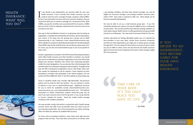a pre-existing condition, and have been denied coverage, you may be eligible for insurance through a pre-existing condition insurance plan, called a PCIP. Every state is required to offer one. More details can be found at www.kff.org/statedata.

You may be able to set up a small business group plan. If you hire somebody, perhaps your spouse, you may be eligible to buy a small group insurance plan. This can also work for those with pre-existing conditions, as many states require health insurers to offer guaranteed issue group health insurance to small groups. You may need an insurance broker for this one.

### **HEALTH** insurance: WHAT WILL YOU DO?

 $\prod_{\mathsf{B}\vee\mathsf{I}}$ f you decide to go independent, you become liable for your own health insurance. If you currently have health insurance, you can continue with the same coverage through a program called COBRA. By law, if you had health insurance with your previous employer, they are required to allow you to continue coverage for a set period of time. With COBRA, you pay the monthly costs associated with the insurance. COBRA gives you time to find an adequate replacement for insurance and can be canceled at any time.

> Another alternative for finding affordable health care is to identify the best providers in your area. Next, contact those insurance companies and find out what organizations you might join to obtain group coverage through them. The true utopia for those with an insurance license is when you join an HMO or other carrier and also become the health insurance agent of record and receive ongoing commissions, which average roughly 4% of the premium.

> > TAKE CARE OF YOUR BODY. IT'S THE ONLY place you HAVE TO LIVE.

One way to find cost-effective insurance is to get group rates by joining an organization. It could be the local Chamber of Commerce, alumni associations, your church, or for those over 50, perhaps join a group such as AARP (www.aarp.org) or the Freelancers Union (www.freelancersunion.org). Other websites to consider are the National Association for the Self-Employed (www.NASE.org) and the Small Business Service Bureau (www.sbsb.com). For some, you can also visit www.healthcare.gov to see if you qualify for lower costs.

Another organization to consider is the FPA (Financial Planning Association) which offers health insurance and other benefits to members. You should give serious consideration to joining an organization such as the FPA to help expand your business. Members also receive free continuing education credits for certain designations. You can also join their referral program that provides leads from individuals looking for financial advice. Throughout the year, the FPA is mentioned in publications such as "USA Today" with a tollfree number for individuals to call for inquiries. Those inquiries are then forwarded to members who participate in the referral program. You can contact the FPA at (800) 322-4237 or visit their website at www.onefpa.org.

Those in excellent health may consider high-deductible, low-premium policies and can shop for their own policies. You can compare a variety of options in your area at www.healthcare.gov. Additional resources for you to check for availability include www.ehealthinsurance.com, www.einsurance.com, and www.GoHealthinsurance.com. The National Association of Health Underwriters website (www.nahu.org) may be best if you want someone else to do the leg work, or you can go directly to insurers' websites for quotes. Avoid the smaller health coverage companies with multiple complaints.

You may consider a policy that works in conjunction with a health savings account, which may offer some tax benefits when you need to pay for out-of-pocket medical bills. One of the clearing firms we utilize, Pershing, offers the ability for advisors to establish HSA accounts.

For those with pre-existing conditions, many states have high-risk pool programs that can help. If you have been uninsured for six months, have *~ Jim Rohn*



if you DECIDE TO GO independent, you become liable for your own **HEALTH** insurance.

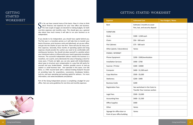### GETTING STARTED **WORKSHEET**

o far, we have covered many of the basics. Now it is time to think<br>about finances and expenses for your new office and business.<br>The next couple of pages are devoted to making budgets, for both<br>one-time expenses and monthl about finances and expenses for your new office and business. The next couple of pages are devoted to making budgets, for both one-time expenses and monthly costs. This should give you a general idea about how much money it will take to run your business as an independent.

If you decide to Go Independent, you should have capital behind you. The first year is a transition period, as it will take time to transfer your book of business, print business cards and letterhead, set up your office, and get into the rhythm of your new firm. There will also be many onetime expenses. Generally, three months of operating capital and living expenses should provide the cushion you need to be comfortable with starting your business. You should not place yourself in a position where your investment advice is influenced by your need to generate immediate revenues. The successful independent advisor realizes this business is a marathon, not a sprint, and understands the value of keeping a client for many years. If funds are tight, you can also speak with broker/dealers about ways to structure your compensation in a way that still works for yourself and your broker/dealer. Another possible source of start-up capital is a small business loan. One specialist in this space, Live Oak Bank, is a FDIC insured bank with a national lending footprint focused on providing loans for acquisitions, successions, breakaway brokers, tuck-ins, and even operating and working capital for advisors. For more information, visit www.liveoakbank.com/advisor.

Part of the Going Independent process is completing a budget for your office. Here are some guidelines for one-time and monthly expenses:

## GETTING STARTED WORKSHEET

| <b>Expense</b>                                              | <b>Estimated Cost</b>                                                  | Your Budget / Notes |
|-------------------------------------------------------------|------------------------------------------------------------------------|---------------------|
| Rent                                                        | Estimate 3 months to cover<br>first, last, and security deposit        |                     |
| <b>FURNITURE</b>                                            |                                                                        |                     |
| Desks                                                       | \$300 - 3,500 each                                                     |                     |
| Chairs                                                      | \$50 - 500 each                                                        |                     |
| <b>File Cabinets</b>                                        | \$75 - 500 each                                                        |                     |
| Other (plants / decorations)                                | Varies                                                                 |                     |
| PHONE / INTERNET                                            |                                                                        |                     |
| Phone Equipment                                             | \$200 - \$300/workstation                                              |                     |
| <b>Installation Services</b>                                | \$400 - \$700                                                          |                     |
| Scanner / Printer                                           | \$300 - \$3000                                                         |                     |
| Computer                                                    | \$400 - \$1,500 each                                                   |                     |
| Copy Machine                                                | \$500 - \$5,000                                                        |                     |
| Stationery                                                  | \$200 - \$400                                                          |                     |
| <b>Business Cards</b>                                       | \$200                                                                  |                     |
| <b>Registration Fees</b>                                    | See worksheet in the Costs to<br><b>Transfer Your Licenses section</b> |                     |
| Legal Fees                                                  | \$500 - \$3,000                                                        |                     |
| <b>Accounting Fees</b>                                      | \$400 - \$1,500                                                        |                     |
| Office Supplies                                             | \$400                                                                  |                     |
| Other                                                       | Varies                                                                 |                     |
| Signage for office door or<br>front of your office building | Varies                                                                 |                     |

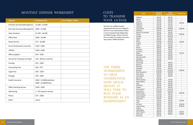### monthly expense worksheet

| <b>Expense</b>                   | <b>Estimated Cost</b>                                | <b>Your Budget / Notes</b> |  |
|----------------------------------|------------------------------------------------------|----------------------------|--|
| Full time Secretary/Receptionist | $$1,600 - $3,000$                                    |                            |  |
| Part time Secretary/Receptionist | \$400 - \$1,000                                      |                            |  |
| <b>Sales Assistant</b>           | $$1,700 - $4,500$                                    |                            |  |
| <b>Office Rent</b>               | \$500 - \$3,000                                      |                            |  |
| Quote Service                    | $$75 - $2,000$                                       |                            |  |
| Errors & Omissions Insurance     | $$150 - $350$                                        |                            |  |
| <b>Utilities</b>                 | $$100 - $300$                                        |                            |  |
| <b>Office Supplies</b>           | $$50 - $100$                                         |                            |  |
| Service for Computer & Copier    | \$10 - \$40 per machine                              |                            |  |
| Printing                         | $$25 - $100$                                         |                            |  |
| <b>Accounting Fees</b>           | $$50 - $75$                                          |                            |  |
| Legal Fees                       | $$50 - $100$                                         |                            |  |
| Postage                          | $$50 - $300$                                         |                            |  |
| <b>Health Insurance</b>          | \$500 - \$1,000/individual<br>\$900 - \$2,000/family |                            |  |
| <b>Office Cleaning Service</b>   | $$100 - $200$                                        |                            |  |
| Advertising                      | 2 - 5% of gross revenue                              |                            |  |
| Phone                            | $$75 - $500$                                         |                            |  |
| Other                            | Varies                                               |                            |  |

### **COSTS** TO TRANSFER your license

Each firm has a different policy regarding the fees you are charged to become a new representative. Below is a list of standard State Registration and FINRA charges: Please note that fees are subject to change at any time upon state or FINRA discretion.

| <b>State</b>         | <b>BD Agent</b><br><b>Initial Fee</b> | <b>IA Rep</b><br><b>Renewal Fee</b> | <b>Branch Fee</b> |
|----------------------|---------------------------------------|-------------------------------------|-------------------|
| Alabama              | \$60.00                               | \$60.00                             |                   |
| Alaska               | \$75.00                               | \$75.00                             |                   |
| Arizona              | \$45.00                               | \$40.00                             |                   |
| Arkansas             | \$75.00                               | \$75.00                             | \$50.00           |
| California           | \$25.00                               | \$25.00                             |                   |
| Colorado             | \$12.00                               | \$12.00                             |                   |
| Connecticut          | \$100.00                              | \$100.00                            | \$100.00          |
| Delaware             | \$65.00                               | \$65.00                             |                   |
| District of Columbia | \$45.00                               | \$45.00                             |                   |
| Florida              | \$50.00                               | \$50.00                             | \$100.00          |
| Georgia              | \$50.00                               | \$100.00                            |                   |
| Hawaii               | \$25.00                               | \$25.00                             |                   |
| Idaho                | \$50.00                               | \$30.00                             |                   |
| Illinois             | \$150.00                              | \$150.00                            | \$20.00           |
| Indiana              | \$25.00                               | \$25.00                             |                   |
| lowa                 | \$40.00                               | \$30.00                             |                   |
| Kansas               | \$60.00                               | \$60.00                             |                   |
| Kentucky             | \$50.00                               | \$50.00                             |                   |
| Louisiana            | \$60.00                               | \$0.00                              |                   |
| Maine                | \$50.00                               | \$25.00                             | \$50.00           |
| Maryland             | \$35.00                               | \$50.00                             |                   |
| Massachusetts        | \$75.00                               | \$50.00                             |                   |
|                      | \$65.00                               | \$65.00                             |                   |
| Michigan             | \$50.00                               |                                     |                   |
| Minnesota            | \$50.00                               | \$50.00                             | --                |
| Mississippi          |                                       |                                     |                   |
| Missouri             | \$50.00                               | \$50.00                             |                   |
| Montana              | \$50.00                               | \$50.00                             |                   |
| Nebraska             | \$40.00                               | \$40.00                             |                   |
| Nevada               | \$125.00                              | \$110.00                            | \$100.00          |
| New Hampshire        | \$130.00                              | \$100.00                            |                   |
| New Jersey           | \$60.00                               | \$50.00                             |                   |
| <b>New Mexico</b>    | \$50.00                               | \$50.00                             | --                |
| <b>New York</b>      | \$70.00                               |                                     |                   |
| North Carolina       | \$125.00                              | \$75.00                             | --                |
| North Dakota         | \$60.00                               | \$50.00                             |                   |
| Ohio                 | \$60.00                               | \$35.00                             |                   |
| Oklahoma             | \$50.00                               | \$50.00                             |                   |
| Oregon               | \$60.00                               | \$50.00                             |                   |
| Pennsylvania         | \$125.00                              | \$110.00                            |                   |
| Puerto Rico          | \$130.00                              | \$150.00                            |                   |
| Rhode Island         | \$75.00                               | \$60.00                             | \$100.00          |
| South Carolina       | \$110.00                              | \$55.00                             |                   |
| South Dakota         | \$125.00                              | \$50.00                             |                   |
| Tennessee            | \$50.00                               | \$50.00                             |                   |
| Texas                | \$20.00                               | \$20.00                             | \$25.00           |
| Utah                 | \$50.00                               | \$50.00                             |                   |
| Vermont              | \$60.00                               | \$55.00                             | \$100.00          |
| Virgin Islands       | \$50.00                               | \$50.00                             | \$100.00          |
| Virginia             | \$30.00                               | \$30.00                             |                   |
| Washington           | \$25.00                               | \$20.00                             |                   |
| West Virginia        | \$80.00                               | \$85.00                             | \$50.00           |
| Wisconsin            | \$80.00                               | \$80.00                             | \$80.00           |
| Wyoming              | \$35.00                               |                                     |                   |

use these **WORKSHEETS** TO HELP<br>UNDERSTAND how much money it WILL TAKE TO run your business as an independent .

Alabama Arizona Arkansas California Colorado Connectio **Delaware** District of **Florida** Georgia Hawaii \$25.00 \$25.00 -- **Indiana Kansas Kentucky** Louisiana Maryland Massachu **Michigan** Minnesot Mississip **Missouri Montana** Nebraska New Ham New Jerse New Mex New York North Car North Dal Oklahoma Oregon Pennsylva Puerto Ri Rhode Isla South Car South Dal Tennesse Vermont Virgin Isla Virginia Washingt West Virg Wisconsin Wyoming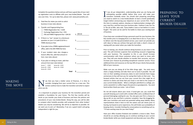Complete the questions below and you will have a good idea of your start up registration costs to affiliate with your new broker/dealer. Fees will vary over time. For up-to-date fees, please visit: www.joincantella.com.

- 1. Total fees for states you wish to solicit business in (see rates above).
- 

 $\zeta$  199.50

 $\zeta$ 

- 2. Transfer and Fingerprinting Fees<br>  $\Box$  FINRA Registration fee = \$100<br>  $\Box$  Exchange Registration Fee = \$55<br>  $\Box$  FBI and FINRA Fingerprint fee = \$44.50
	-
	-
- 3. If there is a "yes" answer to a disclosure question on your U-4 (add \$110 for a FINRA disclosure fee)
- 4. If you plan to be a FINRA registered branch office, add in the \$95 FINRA fee here.
- 5. If your resident state also charges a branch office fee, add that amount in here. (see rates above)
- 6. If you plan on taking an exam, add that amount here (see rates below) Series 7 = \$305 Series 66 = \$155 Series  $65 = $165$  Series  $24 = $120$ Series 63 = \$125
- $\zeta$  $\zeta$  $\zeta$

We that you have a better sense of finances, it is time to consider changing from your current firm to a new one. This section outlines how to make the transition and what to expect when you do consider changing from your current firm to a new one. This section outlines how to make the transition and what to expect when you do.

 $\prod_{\text{vol}}$  $\blacksquare$  f you do go independent, understanding what you are facing and anticipating possible pitfalls before they occur will make your transition markedly easier. You should start preparing everything you need to switch to a new broker/dealer at least a month (preferably longer) before announcing your departure at your current firm. This is  $\phi$   $\sim$  the time to evaluate options, develop an implementation strategy with  $\sim$  BROKER your new firm, and fine-tune your business plan. I believe it was Sun Tzu in *The Art of War*, who said, "Every battle is won or lost before it is even fought." The same can be said for the battle to retain your existing book of business.

 It is important to prepare your business for the transition period and establish a foundation for your future. The first few months will be hectic as you transfer your book of business and learn the policies and procedures of your new broker/dealer. Along the way, you will be able to compare what Cantella provides with proposals from other broker/ dealers you may be considering. We will be as objective as possible. Do we want you to join us? Absolutely, if we are a good match and going independent is right for you.

### preparing to LEAVE YOUR CURRENT BROKER/DEALER



If you have ever considered hiring a personal coach for your business, the few months prior to changing firms is an ideal time to do so. If you want to deliver over-the-top personalized service, your coach can provide you with ideas to help you achieve that goal and make a client's choice of staying with you easier when you make the transition.

**Total \$** \_\_\_\_\_\_\_\_\_\_\_\_\_\_\_\_\_\_

Prior to leaving, you should continue doing business as you have in the past. This will minimize suspicion that something unusual is happening with your business. The exception to this is you should increase communication with those customers whom you want to move with you. They will soon decide whether to transfer their accounts, and you increase your chances by providing exceptional customer service. Focus additional time and resources on the top 20% of your clients that provide 80% of your revenues.

Make sure you are doing all of the little things right. You wish every client a happy birthday and take them out to lunch if possible. You call men on their wedding anniversary dates to wish (remind) them happy anniversary (a few will love you for saving their butts on that one). You forward articles that are not from your current firm that might be of interest to clients and show that your brain is not tied to the output of your current broker/dealer. When a child gets admitted to a college, you send a sweatshirt or coffee mug to the parents or grandparents. You send hand-written thank you notes. Lots of them.

Do not tell anyone about your move. If word gets out, you could find yourself showing up to work with a locked office and a cardboard box of personal belongings waiting for you. You also give your firm a chance to dig up dirt on you and find a customer complaint. Save the bragging for after your transition and avoid any potential selling away liability. Many representatives think it best to test the waters and ask clients prior to leaving, but based on prior experience, this will hinder your probability of keeping clients. Consider limiting the conversations to something such as, "I'll have exciting news for you next Friday!"

Have your office location finalized and establish a move-in date. There should be an overlap allowing you to continue working at your current broker/dealer while you install equipment and decorate your new office.

### **MAKING** THE MOVE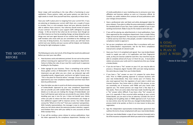Never resign until everything in the new office is functioning to your satisfaction. Phone systems, cable, and quote systems can take four to eight weeks to install. Give yourself lead time, especially on these items.

Have your staff in place prior to resigning from your current firm. If you are planning on keeping your current staff, there are a couple of issues to consider. One is a non-compete clause and your attorney should be able to address those concerns. Your attorney should review all aspects of your contract. The other is your support staff's willingness to accept change. In life we tend to fear what we do not know. Even though we can often improve our lives by accepting change, we keep doing the same things over and over again because of our comfort level. Make sure any staff members who move with you are committed to the challenge and a new way of doing business. As a business owner, you will have more control over your destiny and your success will be helped, not hindered, by having the right employees in place.

### THE MONTH **BEFORE**

The following are some, but not all, of the things that need to be addressed before you start your new office:

- Have business cards and stationery printed. Do not rush to the printer without receiving prior approval from your compliance department. Failure to follow the rules of your new firm could result in expensive kindling for the fireplace.
- Order signage for your business. There is something to be said for those golden arches of McDonald's! On the flip side, think of the impression you get when you see a beat- up restaurant sign with misspelled words, chipped paint, and burnt out lights! Convey your, "This is the place for financial advice" message. Ensure all signage is approved by your new compliance department and then have them done by professionals.
- Have the letter you plan to send to all clients announcing your change of broker/dealer approved by your new compliance department (we can provide you with sample letters). The letter should include details as to why you are making the change of broker/dealer and how it will improve upon what you can provide for your clients. While doubling your pay is nice for you, it does not benefit your clients unless you plan to reduce the fees and commissions you charge or hire additional support staff to improve service. Your letter should convey the "What's in it for me?" from your customers' perspectives. With Cantella representatives, the message is easy to communicate when you tell clients about the extensive product selection, support, and freedom that come with your ability to carry accounts at three NYSE member firms.
- If you will be sending a press release to various publications, have the letter approved by the compliance department. Develop a list

of media publications in your marketing area to announce your new affiliation and business address as soon as it becomes official. At Cantella, our public relations firm contacts all local publications with your change announcement.

- Have a professional color and black and white photograph taken for press releases. If you plan to utilize the press extensively, in addition to the standard photo of your face, have a photo available of you in your working environment. Make it easy for the media to work with you.
- If you will be placing any advertisements in local publications, have them approved by the compliance department. Even a simple Yellow Pages ad must be approved. The easy way to remember this rule is if it will be seen by more than a few people, consider it advertising and compliance needs to approve it.
- Set up your compliance and customer files in accordance with your new broker/dealer's requirements. Ask for the firm's compliance manual and a sample of a branch audit.
- Have your Form U-4 completed and signed. Your new broker/dealer needs to supply you with a U-4 application and their fingerprint cards, as they are now bar coded for each firm. Your new firm may be able to complete almost all of your U-4 form for you. A local police station can process your cards and it is required any time you change a broker/dealer.
- If you do not have a "Yes" answer on your U-4, you may be able to process a Temporary Agent Transfer (TAT) and start doing business the same day you resign from your broker/dealer.
- If you have a "Yes" answer on your U-4, prepare for some down time. Prior to FINRA granting approval to transact business with your new broker/dealer, they must review your U-4 history. You also need approval from the regulators of each state in which you transact business. Your home state is critical in this process, as you are essentially out of business until FINRA and your home state approve you. The review process can range from a few days to a few weeks. There are some states that have made transferring with a "Yes" answer rather difficult. If you have a few "Yes" answers on your U-4, especially if they occurred while working at your current broker/dealer, you are wise to hire an attorney. Consider the risk of changing and not getting state or FINRA approval at all. If you have no new entries since the last time you changed broker/dealers, the process tends to be quicker, as there is no new reason to deny your registration.
- Sign the independent representative broker/dealer agreement that outlines the terms of your employment with your new broker/dealer.
- Send your new broker/dealer a copy of your insurance license(s) and a list of the insurance companies with whom you want to be re-appointed.

## a goal **WITHOUT** a plan is just a wish.

*~ Antoine de Saint-Exupery*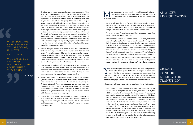- The best way to resign is shortly after the markets close on a Friday. A simple, "I resign from XYZ Corp., effective immediately. I thank you for the opportunity to work with XYZ Corp." is all that is necessary. It is a good idea to immediately forward a copy of your resignation letter to your new broker/dealer. Resigning at the end of the week gives you an entire weekend head start on your former broker/dealer to get your transfer forms in the mail. This also gives you time to speak with all of your customers before your branch manager has a chance to reassign your accounts. Some reps have timed their resignation just before the branch manager goes on vacation. This would be ideal for "shark fest" environments where your book will be attacked. You should weigh the pros and cons of your exit strategy, giving weight to prior experiences of others whom have left the firm. Your relationship with a branch manager can significantly impact your transition and if it can be done so positively, consider doing so. You have little to gain by making your exit adversarial.
- Ensure that you already have access to your new broker/dealer's systems. Have rep ID numbers assigned, access to client accounts at the firm(s) where you will be carrying accounts, and a password to your new email address and to the company's intranet to review memos and print forms. It helps to see what your clients will see when they access their accounts. Prior to joining, take time to learn the new firm's system. Ask for a WebEx demo before you join.
- Have a list of the key home office personnel you can talk to throughout your transition. Your new broker/dealer should provide a dedicated transition team, but equally important, make sure you have been introduced to the operations employees who will help you with questions such as the status of your account transfers.
- Have a good contact management system in place. This will help you keep track of all communications with customers and follow the paper trail of new account and transfer forms in the beginning. The first step is to check if your current contact management system can be utilized with your new firm. It may be that your current firm uses proprietary software, which means you need to start over with a new system. If so, you want to work out any bugs and become familiar with the new system prior to resigning.
- Review the firm's training materials with any support staff that you hire. At Cantella, we provide a Branch Best Practice's checklist to help familiarize employees with our systems. We also ensure that assistants are set up with training on the firm's intranet and account access screens.

ost preparation for your transition should be completed prior<br>to actually joining your new firm. Once you are registered, a<br>touch with clients. to actually joining your new firm. Once you are registered, a primary focus should be transferring accounts and keeping in touch with clients.

The will probably work harder than you have in years during the first<br>few months. You may feel like the head of triage in an emergency<br>room, deciding where to expend your resources. Remember: It is a<br>marathon, not a sprint few months. You may feel like the head of triage in an emergency room, deciding where to expend your resources. Remember: It is a marathon, not a sprint. Working hard is expected during this time. Working smart makes it more manageable. Staying focused on accomplishing the critical tasks helps your practice return to normal as soon as possible.

#### winners in life **ARE THOSE** who are excited about where THEY'RE GOING.

- Send all of your clients a Welcome Kit, which includes a letter informing them of your affiliation with your new broker/dealer, as well as all necessary account forms. Your new firm should have sample transition letters you can customize for your clientele.
- Try to see as many A-list clients as possible in person during the first week. Change is scary for them, too.
- Process all new account and transfer forms. The sooner you transfer accounts in, the better. Follow up on transfer requests for any assets held directly at fund and insurance companies. Our experience has been that change of broker/dealer requests receive lower priority processing attention than applications with checks attached to them. Your former firm will continue to receive trail commissions until the change of broker/dealer is processed. Most firms have Account Transfer Reports you can access to view the status of your brokerage account transfers.
- Regularly check your new email address and immediately stop using your old one. You will not be able to communicate broker/dealer related matters via a personal email address for compliance purposes.

Below are some hiccups we sometimes experience during the transition:

• Some clients use their checkbooks or debit cards constantly, so you do not want to disrupt the process. When you submit an ACAT, the old firm immediately shuts down the checking account, debit card, and pending transactions may be declined. To get around this, have two accounts going at once until all of the pending transactions are processed and the client has checks and a debit card for the new account. Do not ACAT the account immediately, but have the client write a check to the new account and complete an ACAT form (you will need it later). If you need to sell a position, you can DTC free deliver the position into the new account. As soon as the client gets the new checks and debit cards, have the client start using them. Once the activity has stopped on the old account and outstanding checks have cleared, you can transfer the remaining balance to the new broker/dealer using the ACAT you have on file.

### as a new representative

### AREAS OF **CONCERN** DURING THE **TRANSITION**

### when you truly believe in what YOU ARE DOING, it shows.

#### and it pays.

*~ Dale Carnegie*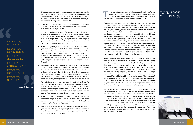**BEFORE YOU** ACT, LISTEN.

**BEFORE YOU** REACT, THINK.

**BEFORE YOU** SPEND, EARN.

- Clients using automated bill paying need to set up payment processing again at the new firm. This requires re-entering data from various companies into the system. If you are not currently utilizing automated bill paying services, it is a great way to increase the reliance of your clients on you to help manage their wealth.
- Some clients utilize systematic deposits or withdrawals for investing or to pay their bills. Make sure you correctly establish the new account to meet the needs of your client.
- Product A = Product A. If you have, for example, a separately managed account and move the account over, can the manager still be utilized? If not, this could create tax implications for your client as you move to a new manager. This is why it is important in the early stages of your transition to review all products and services and find a viable solution with your new broker/dealer.
- Some items you might want, but may not be allowed to take with you, include prior year's 1099 forms and year-end values of IRA accounts for clients required to take minimum distributions. Make sure you have a contact number for the client services department at your old firm. Most broker/dealers will not provide you access to prior information or forms you need, but you can do a conference call with both parties to ensure the client receives what they need on the first call.
- Representatives tend to underestimate the amount of time and effort it takes to prepare forms and transfer accounts. It is a labor-intensive task. We find it is best to complete forms with clients on the phone and then mail or email them. Doing so avoids problems, such as the client that marks investment objectives as Preservation of Capital, yet they own stocks. By completing forms before mailing, you avoid errors, as you only need signatures and a recent customer statement.
- Failing to invest time to learn company intranets will cost you. For example, Cantella has every form available online through an easy to navigate search engine. If you fail to take the time to learn the new system, you create potential for inefficiencies. If you fail to review transition manuals, you may find yourself working hard, but not smart. Make it a goal to have all forms completed correctly.
- Ready, shoot, aim is not the preferred course of action. Representatives sometimes resign from their current firm based on an emotional decision and lack the time one needs to design an effective plan of attack. Be a Boy Scout – Be Prepared.
- Relying on doing everything after you resign can set you back. Most of your transition items, such as printing business cards and stationery, installing phones, and learning new systems, should ideally be done prior to leaving your current firm.

The last part about making the switch to independence is transferring<br>your book of business. This can be tricky depending on what type<br>of office environment you have now. Below are some scenarios to<br>use as a guide to deter your book of business. This can be tricky depending on what type of office environment you have now. Below are some scenarios to use as a guide to determine what your own switch may be like.

before you CRITICIZE, WAIT.

before you QUIT, TRY.

If you are leaving a wirehouse, your belongings stay there. The opinion of the major wirehouses is that clients are the property of the firm, not the representative. What happens to your book of business depends on the firm you work for, your contract, and also your former associates. Your book will in all likelihood be distributed by your branch manager, and divided up among the other reps in your office. It is possible you will become the victim of a "shark fest" with brokers attacking your book. Brokers may go through your book of business and contact all of your clients the moment they receive their allocation of accounts. It is not uncommon for a branch manager to provide bonus payouts for a few months to anyone who generates revenues with the book you leave behind. I have heard many a story about brokers alluding to jail time and other misrepresentations as to why a rep is no longer with a firm. The good news is that these tactics are unprofessional and, while frustrating, they will help, not hurt you in the long run.

Some firms make leaving difficult in order to intimidate the remaining reps. It is in the best interest of a wirehouse to create anxiety among current employees who are considering leaving to go independent. They want you to be nervous and remain content keeping only 30 to 40 percent of your commissions. If you have a non-compete agreement (if you work in a wirehouse, you probably do), it is advisable to hire an attorney who already has plenty of experience in this field. The rulings are clear that every person has a right to make a living and no one can be stopped from affiliating with another broker/dealer. The question of "Who owns the clients?" can become an issue and your current broker/ dealer may try to make it difficult for clients to move with you. In the end, the clients decide who they want to manage their money. Your attorney can advise you how best to proceed regarding this matter.

Many firms are part of what is known as The Broker Protocol, which was established in 2004. The wirehouses became tired of constantly suing each other whenever an advisor left, as they realized that the only people profiting from endless court time were the attorneys on both sides. It was essentially a truce between major firms. Quickly, independent firms, who typically do not look at clients as being owned by the firm, but rather the advisor, had little to lose and jumped on board to join the protocol. The members of the protocol agree not to sue as long as firms follow the provisions of the protocol. That being said, the protocol is not a complete shield for advisors to avoid getting sued by their former firms.

### your book of business



before you pray, forgive.

*~ William Arthur Ward*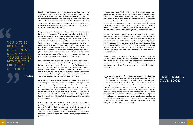Even if you decide to stay at your current firm, you should have what some advisors call their "overnight bag." The reality is: Despite contracts that might provide comfort, we are essentially employees at will. Our affiliation can be terminated without warning. If your current firm is part of the protocol, always have a protocol spread sheet at home. Also, have something tangible that shows your production. If your firm will let you, it is best to have your cell phone in your own name. You should have a copy of your employment agreement.

First, confirm that the firm you are leaving and the one you are joining are both part of the protocol. If so, you can make a list that includes client names, addresses, phone numbers, email addresses, and the title of the account that you serviced. Taking any additional information can expose you to possible litigation, as well as possible fines or penalties from FINRA. When you resign from your current firm, you sign a resignation letter and include a list to your prior firm that details the information you are taking for the accounts you serviced, along with their account numbers. You then provide a list with the information allowed by the protocol that you plan to retain. Your list cannot include account numbers. You cannot contact clients until you are fully employed by your new firm. Also, other advisors of your new firm are not allowed to contact clients.

Some firms and their brokers have more class than others when an advisor leaves. The advisors in the office will respect your decision to go independent and try not to interfere with your transfer. They understand your personal relationship with your clients, and out of respect for you, will not call your clients in an attempt to take your business. If other brokers have left your office, it should provide a guideline for expectations when you leave. Your game plan should take into consideration the way your clients may be treated by your current broker/dealer.

I played sports and my best coaches emphasized the fundamentals over and over again. Here is my attempt. Remember: According to current regulation, all account paperwork and private client information are your current firm's property. You cannot take any private client information with you without written permission from the customer. If you remove any of your account books before you leave, you might be sued for theft by your former broker/dealer, and/or pursued by the regulators for breaching Regulation S-P, both of which would likely result in you getting a "Yes" answer on your U-4.

The will need to transfer your assets one account at a time with<br>a signed affirmative response from your customers via an ACAT<br>form for brokerage accounts or a Change of Dealer for direct<br>accounts. An account transfer form a signed affirmative response from your customers via an ACAT form for brokerage accounts or a Change of Dealer for direct accounts. An account transfer form should never be dated before you resign from your broker/dealer, as it can be used against you as evidence of selling away. Wait until you leave a firm before making any solicitations or completing forms. The once-common negative response letters are rarely utilized unless a firm becomes insolvent. All firms require some type of identity verification under the PATRIOT Act (often a driver's license number, state of issue, and expiration date is sufficient). Immediately after joining your new firm, meet with as many clients as possible to discuss your plans and the benefits they will receive working with you as an independent business owner.

### **TRANSFERRING** your book

you got to BE CAREFUL if you don't know where YOU'RE GOING, because you might not GET THERE.

> We had one client complain when a new representative sent out a partially-completed transfer form that included the client's social security number. The client called the state securities division wondering why the advisor had access to such information after leaving his prior firm. The advisor found himself in trouble with the regulators. This individual had been a client of that particular rep for several years prior to the rep joining Cantella.

Changing your broker/dealer is an ideal time to re-evaluate your current book of business. We all have a few accounts that provide the majority of our headaches. Consider the value of your time and what you receive in return, both financially and in satisfaction. If someone causes major frustration for minimal revenue, it is probably in your best long-term interest to have them served by someone else. Changing is a great opportunity to match your current business with the vision of your company. While it is often stressful to fire a client under normal circumstances, it is easy when you change firms: Do not contact them.

Everyone asks himself or herself the question, "What if my clients won't leave and come with me?" The truth is that not all of them will. It depends on the relationship you have developed with your clientele. If they trust you and feel that you have their best interests at heart, they will probably transfer with you. The bulk of your clients do business with you and not the firm you work for. The firm does not understand their needs and goals—you do. Our experience has been that the vast majority of clients will follow you to your new firm. Those who stay behind were accounts, not relationships.

That being said, do not give up on the clients who do not immediately join you. A few may say they want to see how things work out with the new rep assigned to their account. Be persistent. Earn back their business with service. You have a longer relationship with the client and continuous provision of the best possible service should bring their business back to you.

*~ Yogi Berra*